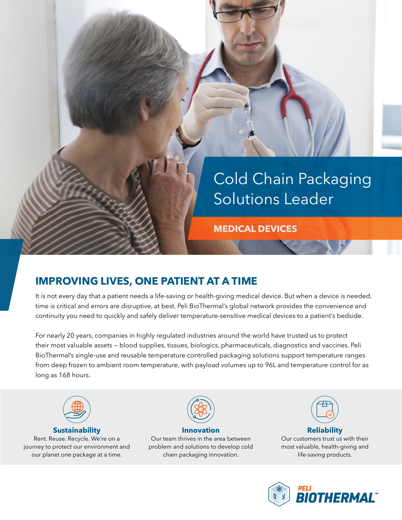

## **IMPROVING LIVES, ONE PATIENT AT A TIME**

It is not every day that a patient needs a life-saving or health-giving medical device. But when a device is needed, time is critical and errors are disruptive, at best. Peli BioThermal's global network provides the convenience and continuity you need to quickly and safely deliver temperature-sensitive medical devices to a patient's bedside.

For nearly 20 years, companies in highly regulated industries around the world have trusted us to protect their most valuable assets — blood supplies, tissues, biologics, pharmaceuticals, diagnostics and vaccines. Peli BioThermal's single-use and reusable temperature controlled packaging solutions support temperature ranges from deep frozen to ambient room temperature, with payload volumes up to 96L and temperature control for as long as 168 hours.



## **Sustainability**

Rent. Reuse. Recycle. We're on a journey to protect our environment and our planet one package at a time.



**Innovation** Our team thrives in the area between problem and solutions to develop cold chain packaging innovation.



**Reliability** Our customers trust us with their most valuable, health-giving and life-saving products.